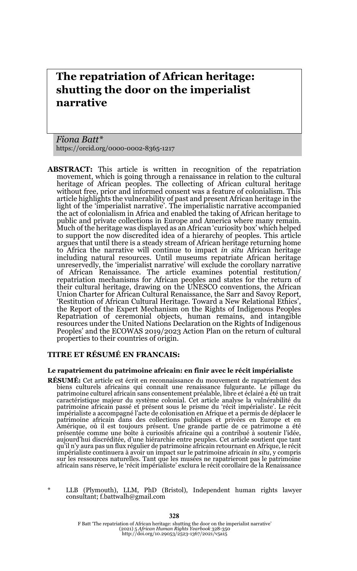# **The repatriation of African heritage: shutting the door on the imperialist narrative**

*Fiona Batt\** https://orcid.org/0000-0002-8365-1217

**ABSTRACT:** This article is written in recognition of the repatriation movement, which is going through a renaissance in relation to the cultural heritage of African peoples. The collecting of African cultural heritage without free, prior and informed consent was a feature of colonialism. This article highlights the vulnerability of past and present African heritage in the light of the 'imperialist narrative'. The imperialistic narrative accompanied the act of colonialism in Africa and enabled the taking of African heritage to public and private collections in Europe and America where many remain. Much of the heritage was displayed as an African 'curiosity box' which helped to support the now discredited idea of a hierarchy of peoples. This article argues that until there is a steady stream of African heritage returning home to Africa the narrative will continue to impact *in situ* African heritage including natural resources. Until museums repatriate African heritage unreservedly, the 'imperialist narrative' will exclude the corollary narrative of African Renaissance. The article examines potential restitution/ repatriation mechanisms for African peoples and states for the return of their cultural heritage, drawing on the UNESCO conventions, the African Union Charter for African Cultural Renaissance, the Sarr and Savoy Report, 'Restitution of African Cultural Heritage. Toward a New Relational Ethics', the Report of the Expert Mechanism on the Rights of Indigenous Peoples Repatriation of ceremonial objects, human remains, and intangible resources under the United Nations Declaration on the Rights of Indigenous Peoples' and the ECOWAS 2019/2023 Action Plan on the return of cultural properties to their countries of origin.

#### **TITRE ET RÉSUMÉ EN FRANCAIS:**

#### **Le rapatriement du patrimoine africain: en finir avec le récit impérialiste**

- **RÉSUMÉ:** Cet article est écrit en reconnaissance du mouvement de rapatriement des biens culturels africains qui connaît une renaissance fulgurante. Le pillage du patrimoine culturel africain sans consentement préalable, libre et éclairé a été un trait caractéristique majeur du système colonial. Cet article analyse la vulnérabilité du patrimoine africain passé et présent sous le prisme du 'récit impérialiste'. Le récit impérialiste a accompagné l'acte de colonisation en Afrique et a permis de déplacer le patrimoine africain dans des collections publiques et privées en Europe et en Amérique, où il est toujours présent. Une grande partie de ce patrimoine a été présentée comme une boîte à curiosités africaine qui a contribué à soutenir l'idée, aujourd'hui discréditée, d'une hiérarchie entre peuples. Cet article soutient que tant qu'il n'y aura pas un flux régulier de patrimoine africain retournant en Afrique, le récit impérialiste continuera à avoir un impact sur le patrimoine africain *in situ*, y compris sur les ressources naturelles. Tant que les musées ne rapatrieront pas le patrimoine africain sans réserve, le 'récit impérialiste' exclura le récit corollaire de la Renaissance
- LLB (Plymouth), LLM, PhD (Bristol), Independent human rights lawyer consultant; f.battwalh@gmail.com

F Batt 'The repatriation of African heritage: shutting the door on the imperialist narrative' (2021) 5 *African Human Rights Yearbook* 328-350 http://doi.org/10.29053/2523-1367/2021/v5a15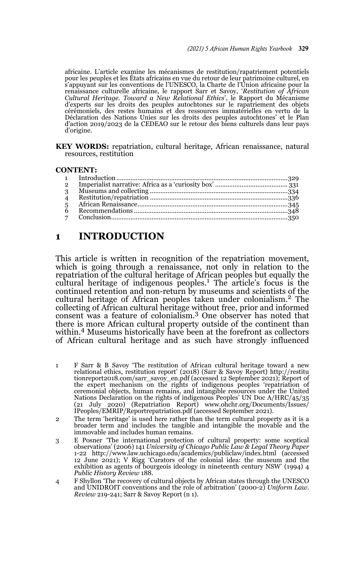africaine. L'article examine les mécanismes de restitution/rapatriement potentiels pour les peuples et les États africains en vue du retour de leur patrimoine culturel, en s'appuyant sur les conventions de l'UNESCO, la Charte de l'Union africaine pour la<br>renaissance culturelle africaine, le rapport Sarr et Savoy, '*Restitution of African*<br>*Cultural Heritage. Toward a New Relational Ethics'*, d'experts sur les droits des peuples autochtones sur le rapatriement des objets cérémoniels, des restes humains et des ressources immatérielles en vertu de la Déclaration des Nations Unies sur les droits des peuples autochtones' et le Plan d'action 2019/2023 de la CEDEAO sur le retour des biens culturels dans leur pays d'origine.

**KEY WORDS:** repatriation, cultural heritage, African renaissance, natural resources, restitution

#### **CONTENT:**

| $\mathbf{3}$   |  |
|----------------|--|
| $\overline{4}$ |  |
| $\frac{5}{6}$  |  |
|                |  |
|                |  |
|                |  |

### **1 INTRODUCTION**

This article is written in recognition of the repatriation movement, which is going through a renaissance, not only in relation to the repatriation of the cultural heritage of African peoples but equally the cultural heritage of indigenous peoples.<sup>1</sup> The article's focus is the continued retention and non-return by museums and scientists of the cultural heritage of African peoples taken under colonialism.<sup>2</sup> The collecting of African cultural heritage without free, prior and informed consent was a feature of colonialism.3 One observer has noted that there is more African cultural property outside of the continent than within.4 Museums historically have been at the forefront as collectors of African cultural heritage and as such have strongly influenced

- 1 F Sarr & B Savoy 'The restitution of African cultural heritage toward a new relational ethics, restitution report' (2018) (Sarr & Savoy Report) http://restitu tionreport2018.com/sarr\_savoy\_en.pdf (accessed 12 September 2021); Report of the expert mechanism on the rights of indigenous peoples 'repatriation of ceremonial objects, human remains, and intangible resources under the United Nations Declaration on the rights of indigenous Peoples' UN Doc A/HRC/45/35 (21 July 2020) (Repatriation Report) www.ohchr.org/Documents/Issues/ IPeoples/EMRIP/Reportrepatriation.pdf (accessed September 2021).
- 2 The term 'heritage' is used here rather than the term cultural property as it is a broader term and includes the tangible and intangible the movable and the immovable and includes human remains.
- 3 E Posner 'The international protection of cultural property: some sceptical observations' (2006) 141 *University of Chicago Public Law & Legal Theory Paper* 1-22 http://www.law.uchicago.edu/academics/publiclaw/index.html (accessed 12 June 2021); V Rigg 'Curators of the colonial idea: the museum and the exhibition as agents of bourgeois ideology in nineteenth century NSW' (1994) 4 *Public History Review* 188.
- 4 F Shyllon 'The recovery of cultural objects by African states through the UNESCO and UNIDROIT conventions and the role of arbitration' (2000-2) *Uniform Law. Review* 219-241; Sarr & Savoy Report (n 1).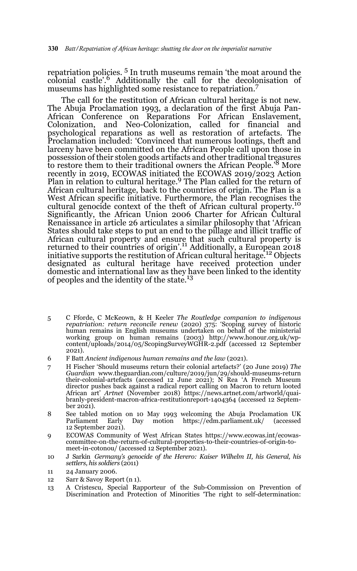repatriation policies.<sup>5</sup> In truth museums remain 'the moat around the colonial castle'.6 Additionally the call for the decolonisation of museums has highlighted some resistance to repatriation.<sup>7</sup>

The call for the restitution of African cultural heritage is not new. The Abuja Proclamation 1993, a declaration of the first Abuja Pan-African Conference on Reparations For African Enslavement, Colonization, and Neo-Colonization, called for financial and psychological reparations as well as restoration of artefacts. The Proclamation included: 'Convinced that numerous lootings, theft and larceny have been committed on the African People call upon those in possession of their stolen goods artifacts and other traditional treasures to restore them to their traditional owners the African People.'8 More recently in 2019, ECOWAS initiated the ECOWAS 2019/2023 Action Plan in relation to cultural heritage.<sup>9</sup> The Plan called for the return of African cultural heritage, back to the countries of origin. The Plan is a West African specific initiative. Furthermore, the Plan recognises the cultural genocide context of the theft of African cultural property.10 Significantly, the African Union 2006 Charter for African Cultural Renaissance in article 26 articulates a similar philosophy that 'African States should take steps to put an end to the pillage and illicit traffic of African cultural property and ensure that such cultural property is<br>returned to their countries of origin'.<sup>11</sup> Additionally, a European 2018 initiative supports the restitution of African cultural heritage.<sup>12</sup> Objects designated as cultural heritage have received protection under domestic and international law as they have been linked to the identity of peoples and the identity of the state.<sup>13</sup>

- 5 C Fforde, C McKeown, & H Keeler *The Routledge companion to indigenous repatriation: return reconcile renew* (2020) 375: 'Scoping survey of historic human remains in English museums undertaken on behalf of the ministerial working group on human remains (2003) http://www.honour.org.uk/wpcontent/uploads/2014/05/ScopingSurveyWGHR-2.pdf (accessed 12 September 2021).
- 6 F Batt *Ancient indigenous human remains and the law* (2021).
- 7 H Fischer 'Should museums return their colonial artefacts?' (20 June 2019) *The Guardian* www.theguardian.com/culture/2019/jun/29/should-museums-return their-colonial-artefacts (accessed 12 June 2021); N Rea 'A French Museum director pushes back against a radical report calling on Macron to return looted African art' *Artnet* (November 2018) https://news.artnet.com/artworld/quaibranly-president-macron-africa-restitutionreport-1404364 (accessed 12 September 2021).
- 8 See tabled motion on 10 May 1993 welcoming the Abuja Proclamation UK Parliament Early Day motion https://edm.parliament.uk/ (accessed 12 September 2021).
- 9 ECOWAS Community of West African States https://www.ecowas.int/ecowascommittee-on-the-return-of-cultural-properties-to-their-countries-of-origin-tomeet-in-cotonou/ (accessed 12 September 2021).
- 10 J Sarkin *Germany's genocide of the Herero: Kaiser Wilhelm II, his General, his settlers, his soldiers* (2011)
- 11 24 January 2006.
- 12 Sarr & Savoy Report (n 1).
- 13 A Cristescu, Special Rapporteur of the Sub-Commission on Prevention of Discrimination and Protection of Minorities 'The right to self-determination: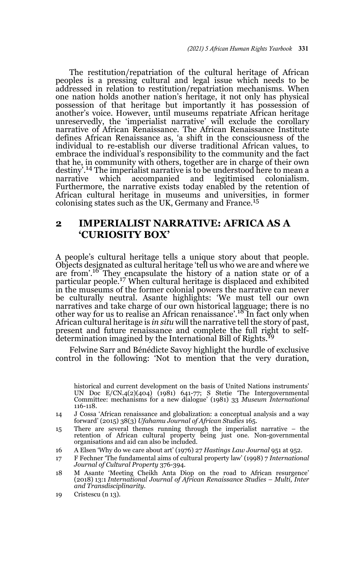The restitution/repatriation of the cultural heritage of African peoples is a pressing cultural and legal issue which needs to be addressed in relation to restitution/repatriation mechanisms. When one nation holds another nation's heritage, it not only has physical possession of that heritage but importantly it has possession of another's voice. However, until museums repatriate African heritage unreservedly, the 'imperialist narrative' will exclude the corollary narrative of African Renaissance. The African Renaissance Institute defines African Renaissance as, 'a shift in the consciousness of the individual to re-establish our diverse traditional African values, to embrace the individual's responsibility to the community and the fact that he, in community with others, together are in charge of their own destiny<sup>'</sup>.<sup>14</sup> The imperialist narrative is to be understood here to mean a narrative which accompanied and legitimised colonialism. narrative which accompanied and legitimised Furthermore, the narrative exists today enabled by the retention of African cultural heritage in museums and universities, in former colonising states such as the UK, Germany and France.<sup>15</sup>

## **2 IMPERIALIST NARRATIVE: AFRICA AS A 'CURIOSITY BOX'**

A people's cultural heritage tells a unique story about that people. Objects designated as cultural heritage 'tell us who we are and where we are from'.<sup>16</sup> They encapsulate the history of a nation state or of a particular people.<sup>17</sup> When cultural heritage is displaced and exhibited in the museums of the former colonial powers the narrative can never be culturally neutral. Asante highlights: 'We must tell our own narratives and take charge of our own historical language; there is no other way for us to realise an African renaissance'.18 In fact only when African cultural heritage is *in situ* will the narrative tell the story of past, present and future renaissance and complete the full right to selfdetermination imagined by the International Bill of Rights.<sup>19</sup>

Felwine Sarr and Bénédicte Savoy highlight the hurdle of exclusive control in the following: 'Not to mention that the very duration,

historical and current development on the basis of United Nations instruments' UN Doc E/CN.4(2)(404) (1981) 641-77; S Stetie 'The Intergovernmental Committee: mechanisms for a new dialogue' (1981) 33 *Museum International* 116-118.

- 14 J Cossa 'African renaissance and globalization: a conceptual analysis and a way forward' (2015) 38(3) *Ufahamu Journal of African Studies* 165.
- 15 There are several themes running through the imperialist narrative the retention of African cultural property being just one. Non-governmental organisations and aid can also be included.
- 16 A Elsen 'Why do we care about art' (1976) 27 *Hastings Law Journal* 951 at 952.
- 17 F Fechner 'The fundamental aims of cultural property law' (1998) 7 *International Journal of Cultural Property* 376-394.
- 18 M Asante 'Meeting Cheikh Anta Diop on the road to African resurgence' (2018) 13:1 *International Journal of African Renaissance Studies – Multi, Inter and Transdisciplinarity*.
- 19 Cristescu (n 13).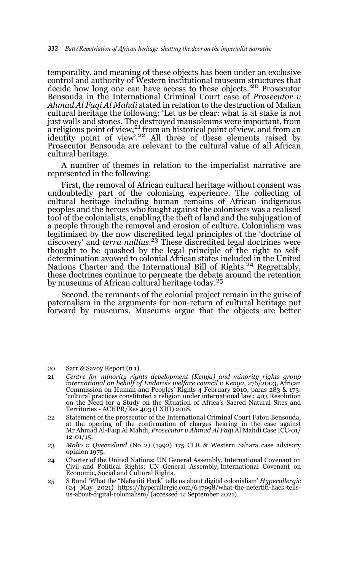temporality, and meaning of these objects has been under an exclusive control and authority of Western institutional museum structures that decide how long one can have access to these objects.'20 Prosecutor Bensouda in the International Criminal Court case of *Prosecutor v Ahmad Al Faqi Al Mahdi* stated in relation to the destruction of Malian cultural heritage the following: 'Let us be clear: what is at stake is not just walls and stones. The destroyed mausoleums were important, from a religious point of view,<sup>21</sup> from an historical point of view, and from an identity point of view'.<sup>22</sup> All three of these elements raised by Prosecutor Bensouda are relevant to the cultural value of all African cultural heritage.

A number of themes in relation to the imperialist narrative are represented in the following:

First, the removal of African cultural heritage without consent was undoubtedly part of the colonising experience. The collecting of cultural heritage including human remains of African indigenous peoples and the heroes who fought against the colonisers was a realised tool of the colonialists, enabling the theft of land and the subjugation of a people through the removal and erosion of culture. Colonialism was legitimised by the now discredited legal principles of the 'doctrine of discovery' and *terra nullius*. 23 These discredited legal doctrines were thought to be quashed by the legal principle of the right to selfdetermination avowed to colonial African states included in the United Nations Charter and the International Bill of Rights.<sup>24</sup> Regrettably, these doctrines continue to permeate the debate around the retention by museums of African cultural heritage today.<sup>25</sup>

Second, the remnants of the colonial project remain in the guise of paternalism in the arguments for non-return of cultural heritage put forward by museums. Museums argue that the objects are better

- 20 Sarr & Savoy Report (n 1).
- 21 *Centre for minority rights development (Kenya) and minority rights group international on behalf of Endorois welfare council v Kenya*, 276/2003, African Commission on Human and Peoples' Rights 4 February 2010, paras 283 & 173: 'cultural practices constituted a religion under international law'; 403 Resolution on the Need for a Study on the Situation of Africa's Sacred Natural Sites and Territories - ACHPR/Res 403 (LXIII) 2018.
- 22 Statement of the prosecutor of the International Criminal Court Fatou Bensouda, at the opening of the confirmation of charges hearing in the case against Mr Ahmad Al-Faqi Al Mahdi, *Prosecutor v Ahmad Al Faqi* Al Mahdi Case ICC-01/  $12 - 01/15$ .
- 23 *Mabo v Queensland* (No 2) (1992) 175 CLR & Western Sahara case advisory opinion 1975.
- 24 Charter of the United Nations; UN General Assembly, International Covenant on Civil and Political Rights; UN General Assembly, International Covenant on Economic, Social and Cultural Rights.
- 25 S Bond 'What the "Nefertiti Hack" tells us about digital colonialism' *Hyperallergic* (24 May 2021) https://hyperallergic.com/647998/what-the-nefertiti-hack-tellsus-about-digital-colonialism/ (accessed 12 September 2021).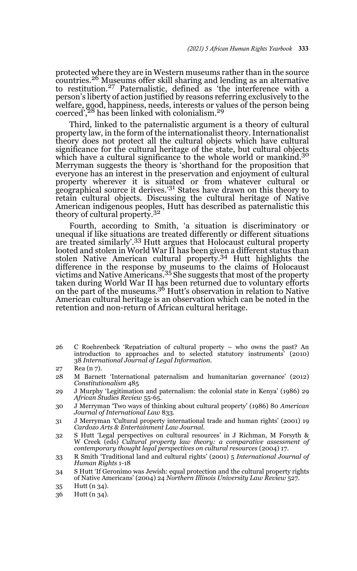protected where they are in Western museums rather than in the source countries.26 Museums offer skill sharing and lending as an alternative to restitution.27 Paternalistic, defined as 'the interference with a person's liberty of action justified by reasons referring exclusively to the welfare, good, happiness, needs, interests or values of the person being coerced',28 has been linked with colonialism.29

Third, linked to the paternalistic argument is a theory of cultural property law, in the form of the internationalist theory. Internationalist theory does not protect all the cultural objects which have cultural significance for the cultural heritage of the state, but cultural objects which have a cultural significance to the whole world or mankind.<sup>30</sup> Merryman suggests the theory is 'shorthand for the proposition that everyone has an interest in the preservation and enjoyment of cultural property wherever it is situated or from whatever cultural or geographical source it derives.<sup>'31</sup> States have drawn on this theory to retain cultural objects. Discussing the cultural heritage of Native American indigenous peoples, Hutt has described as paternalistic this theory of cultural property.<sup>32</sup>

Fourth, according to Smith, 'a situation is discriminatory or unequal if like situations are treated differently or different situations are treated similarly'.<sup>33</sup> Hutt argues that Holocaust cultural property looted and stolen in World War II has been given a different status than stolen Native American cultural property.<sup>34</sup> Hutt highlights the difference in the response by museums to the claims of Holocaust victims and Native Americans.35 She suggests that most of the property taken during World War II has been returned due to voluntary efforts<br>on the part of the museums.<sup>36</sup> Hutt's observation in relation to Native American cultural heritage is an observation which can be noted in the retention and non-return of African cultural heritage.

26 C Roehrenbeck 'Repatriation of cultural property – who owns the past? An introduction to approaches and to selected statutory instruments' (2010) 38 *International Journal of Legal Information.*

- 28 M Barnett 'International paternalism and humanitarian governance' (2012) *Constitutionalism* 485
- 29 J Murphy 'Legitimation and paternalism: the colonial state in Kenya' (1986) 29 *African Studies Review* 55-65.
- 30 J Merryman 'Two ways of thinking about cultural property' (1986) 80 *American Journal of International Law* 833.
- 31 J Merryman 'Cultural property international trade and human rights' (2001) 19 *Cardozo Arts & Entertainment Law Journal*.
- 32 S Hutt 'Legal perspectives on cultural resources' in J Richman, M Forsyth & W Creek (eds) *Cultural property law theory: a comparative assessment of contemporary thought legal perspectives on cultural resources* (2004) 17.
- 33 R Smith 'Traditional land and cultural rights' (2001) 5 *International Journal of Human Rights* 1-18
- 34 S Hutt 'If Geronimo was Jewish: equal protection and the cultural property rights of Native Americans' (2004) 24 *Northern Illinois University Law Review* 527.
- 35 Hutt (n 34).
- 36 Hutt (n 34).

<sup>27</sup> Rea (n 7).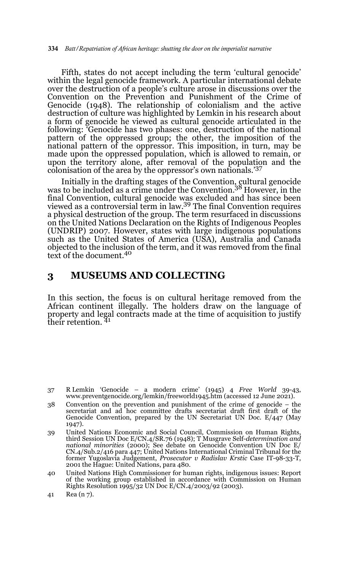Fifth, states do not accept including the term 'cultural genocide' within the legal genocide framework. A particular international debate over the destruction of a people's culture arose in discussions over the Convention on the Prevention and Punishment of the Crime of Genocide (1948). The relationship of colonialism and the active destruction of culture was highlighted by Lemkin in his research about a form of genocide he viewed as cultural genocide articulated in the following: 'Genocide has two phases: one, destruction of the national pattern of the oppressed group; the other, the imposition of the national pattern of the oppressor. This imposition, in turn, may be made upon the oppressed population, which is allowed to remain, or upon the territory alone, after removal of the population and the colonisation of the area by the oppressor's own nationals.'<sup>37</sup>

Initially in the drafting stages of the Convention, cultural genocide was to be included as a crime under the Convention.38 However, in the final Convention, cultural genocide was excluded and has since been viewed as a controversial term in law.39 The final Convention requires a physical destruction of the group. The term resurfaced in discussions on the United Nations Declaration on the Rights of Indigenous Peoples (UNDRIP) 2007. However, states with large indigenous populations such as the United States of America (USA), Australia and Canada objected to the inclusion of the term, and it was removed from the final text of the document.40

### **3 MUSEUMS AND COLLECTING**

In this section, the focus is on cultural heritage removed from the African continent illegally. The holders draw on the language of property and legal contracts made at the time of acquisition to justify their retention. 41

<sup>37</sup> R Lemkin 'Genocide – a modern crime' (1945) 4 *Free World* 39-43, www.preventgenocide.org/lemkin/freeworld1945.htm (accessed 12 June 2021).

<sup>38</sup> Convention on the prevention and punishment of the crime of genocide – the secretariat and ad hoc committee drafts secretariat draft first draft of the Genocide Convention, prepared by the UN Secretariat UN Doc. E/447 (May 1947).

<sup>39</sup> United Nations Economic and Social Council, Commission on Human Rights, third Session UN Doc E/CN.4/SR.76 (1948); T Musgrave Self*-determination and national minorities* (2000); See debate on Genocide Convention UN Doc E/ CN.4/Sub.2/416 para 447; United Nations International Criminal Tribunal for the former Yugoslavia Judgement, *Prosecutor v Radislav Krstic* Case IT-98-33-T, 2001 the Hague: United Nations, para 480.

<sup>40</sup> United Nations High Commissioner for human rights, indigenous issues: Report of the working group established in accordance with Commission on Human Rights Resolution 1995/32 UN Doc E/CN.4/2003/92 (2003).

<sup>41</sup> Rea (n 7).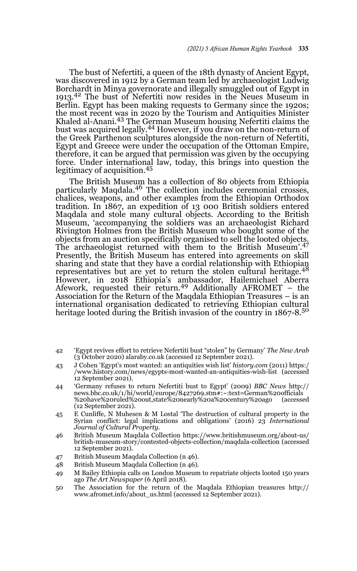The bust of Nefertiti, a queen of the 18th dynasty of Ancient Egypt, was discovered in 1912 by a German team led by archaeologist Ludwig Borchardt in Minya governorate and illegally smuggled out of Egypt in 1913.42 The bust of Nefertiti now resides in the Neues Museum in Berlin. Egypt has been making requests to Germany since the 1920s; the most recent was in 2020 by the Tourism and Antiquities Minister Khaled al-Anani.43 The German Museum housing Nefertiti claims the bust was acquired legally.<sup>44</sup> However, if you draw on the non-return of the Greek Parthenon sculptures alongside the non-return of Nefertiti, Egypt and Greece were under the occupation of the Ottoman Empire, therefore, it can be argued that permission was given by the occupying force. Under international law, today, this brings into question the legitimacy of acquisition.<sup>45</sup>

The British Museum has a collection of 80 objects from Ethiopia<br>particularly Maqdala.<sup>46</sup> The collection includes ceremonial crosses, chalices, weapons, and other examples from the Ethiopian Orthodox tradition. In 1867, an expedition of 13 000 British soldiers entered Maqdala and stole many cultural objects. According to the British Museum, 'accompanying the soldiers was an archaeologist Richard Rivington Holmes from the British Museum who bought some of the objects from an auction specifically organised to sell the looted objects. The archaeologist returned with them to the British Museum'.<sup>47</sup> Presently, the British Museum has entered into agreements on skill sharing and state that they have a cordial relationship with Ethiopian<br>representatives but are yet to return the stolen cultural heritage.<sup>48</sup> However, in 2018 Ethiopia's ambassador, Hailemichael Aberra Afework, requested their return.49 Additionally AFROMET – the Association for the Return of the Maqdala Ethiopian Treasures – is an international organisation dedicated to retrieving Ethiopian cultural heritage looted during the British invasion of the country in 1867-8.<sup>50</sup>

- 42 'Egypt revives effort to retrieve Nefertiti bust "stolen" by Germany' *The New Arab* (3 October 2020) alaraby.co.uk (accessed 12 September 2021).
- 43 J Cohen 'Egypt's most wanted: an antiquities wish list' *history.com* (2011) https:/ /www.history.com/news/egypts-most-wanted-an-antiquities-wish-list (accessed 12 September 2021).
- 44 'Germany refuses to return Nefertiti bust to Egypt' (2009) *BBC News* http:// news.bbc.co.uk/1/hi/world/europe/8427269.stm#:~:text=German%20officials<br>%20have%20ruled%20out,state%20nearly%20a%20century%20ago (accessed %20have%20ruled%20out,state%20nearly%20a%20century%20ago (12 September 2021).
- 45 E Cunliffe, N Muhesen & M Lostal 'The destruction of cultural property in the Syrian conflict: legal implications and obligations' (2016) 23 *International Journal of Cultural Property*.
- 46 British Museum Maqdala Collection https://www.britishmuseum.org/about-us/ british-museum-story/contested-objects-collection/maqdala-collection (accessed 12 September 2021).
- 47 British Museum Maqdala Collection (n 46).
- 48 British Museum Maqdala Collection (n 46).
- 49 M Bailey Ethiopia calls on London Museum to repatriate objects looted 150 years ago *The Art Newspaper* (6 April 2018).
- 50 The Association for the return of the Maqdala Ethiopian treasures http:// www.afromet.info/about\_us.html (accessed 12 September 2021).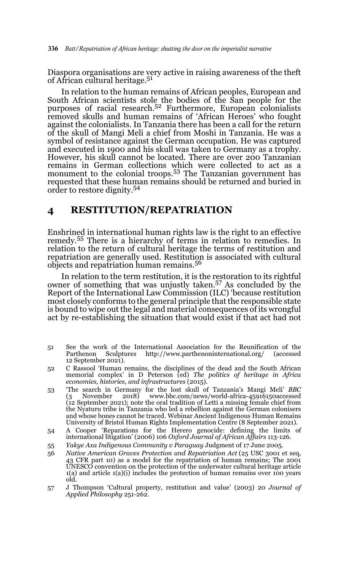Diaspora organisations are very active in raising awareness of the theft of African cultural heritage.<sup>51</sup>

In relation to the human remains of African peoples, European and South African scientists stole the bodies of the San people for the purposes of racial research.52 Furthermore, European colonialists removed skulls and human remains of 'African Heroes' who fought against the colonialists. In Tanzania there has been a call for the return of the skull of Mangi Meli a chief from Moshi in Tanzania. He was a symbol of resistance against the German occupation. He was captured and executed in 1900 and his skull was taken to Germany as a trophy. However, his skull cannot be located. There are over 200 Tanzanian remains in German collections which were collected to act as a monument to the colonial troops.<sup>53</sup> The Tanzanian government has requested that these human remains should be returned and buried in order to restore dignity.54

### **4 RESTITUTION/REPATRIATION**

Enshrined in international human rights law is the right to an effective remedy.55 There is a hierarchy of terms in relation to remedies. In relation to the return of cultural heritage the terms of restitution and repatriation are generally used. Restitution is associated with cultural objects and repatriation human remains.56

In relation to the term restitution, it is the restoration to its rightful owner of something that was unjustly taken.57 As concluded by the Report of the International Law Commission (ILC) 'because restitution most closely conforms to the general principle that the responsible state is bound to wipe out the legal and material consequences of its wrongful act by re-establishing the situation that would exist if that act had not

- 51 See the work of the International Association for the Reunification of the Parthenon Sculptures http://www.parthenoninternational.org/ 12 September 2021).
- 52 C Rassool 'Human remains, the disciplines of the dead and the South African memorial complex' in D Peterson (ed) *The politics of heritage in Africa economies, histories, and infrastructures* (2015).
- 53 'The search in Germany for the lost skull of Tanzania's Mangi Meli' *BBC* (3 November 2018) www.bbc.com/news/world-africa-45916150accessed (12 September 2021); note the oral tradition of Letti a missing female chief from the Nyaturu tribe in Tanzania who led a rebellion against the German colonisers and whose bones cannot be traced. Webinar Ancient Indigenous Human Remains University of Bristol Human Rights Implementation Centre (8 September 2021).
- 54 A Cooper 'Reparations for the Herero genocide: defining the limits of international litigation' (2006) 106 *Oxford Journal of African Affairs* 113-126.
- 55 *Yakye Axa Indigenous Community v Paraguay* Judgment of 17 June 2005.
- 56 *Native American Graves Protection and Repatriation Act* (25 USC 3001 et seq, 43 CFR part 10) as a model for the repatriation of human remains; The 2001 UNESCO convention on the protection of the underwater cultural heritage article 1(a) and article 1(a)(i) includes the protection of human remains over 100 years old.
- 57 J Thompson 'Cultural property, restitution and value' (2003) 20 *Journal of Applied Philosophy* 251-262.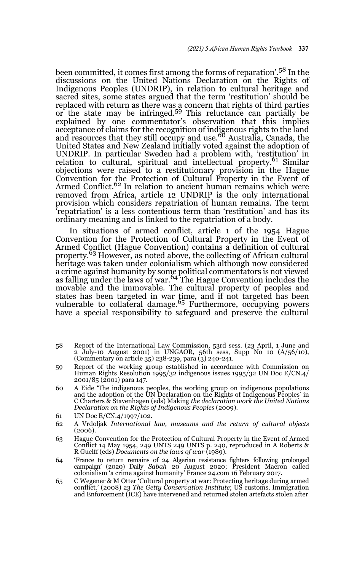been committed, it comes first among the forms of reparation'.58 In the discussions on the United Nations Declaration on the Rights of Indigenous Peoples (UNDRIP), in relation to cultural heritage and sacred sites, some states argued that the term 'restitution' should be replaced with return as there was a concern that rights of third parties or the state may be infringed.59 This reluctance can partially be explained by one commentator's observation that this implies acceptance of claims for the recognition of indigenous rights to the land<br>and resources that they still occupy and use.<sup>60</sup> Australia, Canada, the United States and New Zealand initially voted against the adoption of UNDRIP. In particular Sweden had a problem with, 'restitution' in relation to cultural, spiritual and intellectual property.<sup>61</sup> Similar objections were raised to a restitutionary provision in the Hague Convention for the Protection of Cultural Property in the Event of Armed Conflict.<sup>62</sup> In relation to ancient human remains which were removed from Africa, article 12 UNDRIP is the only international provision which considers repatriation of human remains. The term 'repatriation' is a less contentious term than 'restitution' and has its ordinary meaning and is linked to the repatriation of a body.

In situations of armed conflict, article 1 of the 1954 Hague Convention for the Protection of Cultural Property in the Event of Armed Conflict (Hague Convention) contains a definition of cultural property.<sup>63</sup> However, as noted above, the collecting of African cultural heritage was taken under colonialism which although now considered a crime against humanity by some political commentators is not viewed<br>as falling under the laws of war.<sup>64</sup> The Hague Convention includes the movable and the immovable. The cultural property of peoples and states has been targeted in war time, and if not targeted has been<br>vulnerable to collateral damage.<sup>65</sup> Furthermore, occupying powers have a special responsibility to safeguard and preserve the cultural

- 58 Report of the International Law Commission, 53rd sess. (23 April, 1 June and 2 July-10 August 2001) in UNGAOR, 56th sess, Supp No 10  $(A/56/10)$ , (Commentary on article 35) 238-239, para (3) 240-241.
- 59 Report of the working group established in accordance with Commission on Human Rights Resolution 1995/32 indigenous issues 1995/32 UN Doc E/CN.4/ 2001/85 (2001) para 147.
- 60 A Eide 'The indigenous peoples, the working group on indigenous populations and the adoption of the UN Declaration on the Rights of Indigenous Peoples' in C Charters & Stavenhagen (eds) Making *the declaration work the United Nations Declaration on the Rights of Indigenous Peoples* (2009).
- 61 UN Doc E/CN.4/1997/102.
- 62 A Vrdoljak *International law, museums and the return of cultural objects* (2006).
- 63 Hague Convention for the Protection of Cultural Property in the Event of Armed Conflict 14 May 1954, 249 UNTS 249 UNTS p. 240, reproduced in A Roberts & R Guelff (eds) *Documents on the laws of war* (1989).
- 64 'France to return remains of 24 Algerian resistance fighters following prolonged campaign' (2020) Daily Sabah 20 August 2020; President Macron called colonialism 'a crime against humanity' France 24.com 16 February 2017
- 65 C Wegener & M Otter 'Cultural property at war: Protecting heritage during armed conflict.' (2008) 23 *The Getty Conservation Institute*; US customs, Immigration and Enforcement (ICE) have intervened and returned stolen artefacts stolen after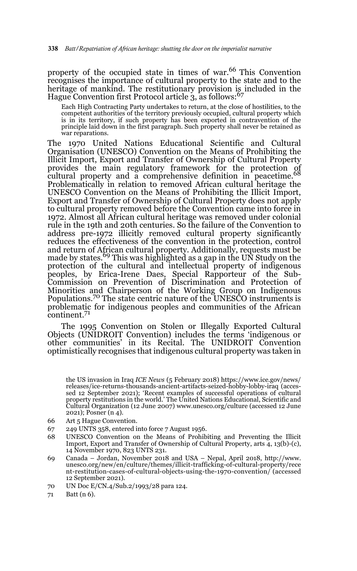property of the occupied state in times of war.<sup>66</sup> This Convention recognises the importance of cultural property to the state and to the heritage of mankind. The restitutionary provision is included in the Hague Convention first Protocol article 3, as follows:<sup>67</sup>

Each High Contracting Party undertakes to return, at the close of hostilities, to the competent authorities of the territory previously occupied, cultural property which is in its territory, if such property has been exported in contravention of the principle laid down in the first paragraph. Such property shall never be retained as war reparations.

The 1970 United Nations Educational Scientific and Cultural Organisation (UNESCO) Convention on the Means of Prohibiting the Illicit Import, Export and Transfer of Ownership of Cultural Property provides the main regulatory framework for the protection of cultural property and a comprehensive definition in peacetime.<sup>68</sup> Problematically in relation to removed African cultural heritage the UNESCO Convention on the Means of Prohibiting the Illicit Import, Export and Transfer of Ownership of Cultural Property does not apply to cultural property removed before the Convention came into force in 1972. Almost all African cultural heritage was removed under colonial rule in the 19th and 20th centuries. So the failure of the Convention to address pre-1972 illicitly removed cultural property significantly reduces the effectiveness of the convention in the protection, control and return of African cultural property. Additionally, requests must be made by states.<sup>69</sup> This was highlighted as a gap in the UN Study on the protection of the cultural and intellectual property of indigenous peoples, by Erica-Irene Daes, Special Rapporteur of the Sub-Commission on Prevention of Discrimination and Protection of Minorities and Chairperson of the Working Group on Indigenous Populations.<sup>70</sup> The state centric nature of the UNESCO instruments is problematic for indigenous peoples and communities of the African continent.<sup>71</sup>

The 1995 Convention on Stolen or Illegally Exported Cultural Objects (UNIDROIT Convention) includes the terms 'indigenous or other communities' in its Recital. The UNIDROIT Convention optimistically recognises that indigenous cultural property was taken in

- 66 Art 5 Hague Convention.
- 67 249 UNTS 358, entered into force 7 August 1956.
- 68 UNESCO Convention on the Means of Prohibiting and Preventing the Illicit Import, Export and Transfer of Ownership of Cultural Property, arts 4, 13(b)-(c), 14 November 1970, 823 UNTS 231.
- 69 Canada Jordan, November 2018 and USA Nepal, April 2018, http://www. unesco.org/new/en/culture/themes/illicit-trafficking-of-cultural-property/rece nt-restitution-cases-of-cultural-objects-using-the-1970-convention/ (accessed 12 September 2021).
- 70 UN Doc E/CN.4/Sub.2/1993/28 para 124.
- 71 Batt (n 6).

<sup>65</sup> the US invasion in Iraq *ICE News* (5 February 2018) https://www.ice.gov/news/ releases/ice-returns-thousands-ancient-artifacts-seized-hobby-lobby-iraq (accessed 12 September 2021); 'Recent examples of successful operations of cultural property restitutions in the world.' The United Nations Educational, Scientific and Cultural Organization (12 June 2007) www.unesco.org/culture (accessed 12 June 2021); Posner (n 4).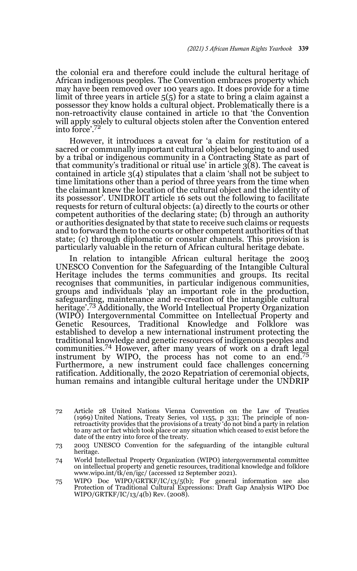the colonial era and therefore could include the cultural heritage of African indigenous peoples. The Convention embraces property which may have been removed over 100 years ago. It does provide for a time limit of three years in article 5(5) for a state to bring a claim against a possessor they know holds a cultural object. Problematically there is a non-retroactivity clause contained in article 10 that 'the Convention will apply solely to cultural objects stolen after the Convention entered into force'.<sup>72</sup>

However, it introduces a caveat for 'a claim for restitution of a sacred or communally important cultural object belonging to and used by a tribal or indigenous community in a Contracting State as part of that community's traditional or ritual use' in article  $3(8)$ . The caveat is contained in article 3(4) stipulates that a claim 'shall not be subject to time limitations other than a period of three years from the time when the claimant knew the location of the cultural object and the identity of its possessor'. UNIDROIT article 16 sets out the following to facilitate requests for return of cultural objects: (a) directly to the courts or other competent authorities of the declaring state; (b) through an authority or authorities designated by that state to receive such claims or requests and to forward them to the courts or other competent authorities of that state; (c) through diplomatic or consular channels. This provision is particularly valuable in the return of African cultural heritage debate.

In relation to intangible African cultural heritage the 2003 UNESCO Convention for the Safeguarding of the Intangible Cultural Heritage includes the terms communities and groups. Its recital recognises that communities, in particular indigenous communities, groups and individuals 'play an important role in the production, safeguarding, maintenance and re-creation of the intangible cultural heritage'.73 Additionally, the World Intellectual Property Organization (WIPO) Intergovernmental Committee on Intellectual Property and Genetic Resources, Traditional Knowledge and Folklore was established to develop a new international instrument protecting the traditional knowledge and genetic resources of indigenous peoples and communities.74 However, after many years of work on a draft legal instrument by WIPO, the process has not come to an end.<sup>75</sup> Furthermore, a new instrument could face challenges concerning ratification. Additionally, the 2020 Repatriation of ceremonial objects, human remains and intangible cultural heritage under the UNDRIP

- 73 2003 UNESCO Convention for the safeguarding of the intangible cultural heritage.
- 74 World Intellectual Property Organization (WIPO) intergovernmental committee on intellectual property and genetic resources, traditional knowledge and folklore www.wipo.int/tk/en/igc/ (accessed 12 September 2021).
- 75 WIPO Doc WIPO/GRTKF/IC/13/5(b); For general information see also Protection of Traditional Cultural Expressions: Draft Gap Analysis WIPO Doc WIPO/GRTKF/IC/13/4(b) Rev. (2008).

<sup>72</sup> Article 28 United Nations Vienna Convention on the Law of Treaties (1969) United Nations, Treaty Series, vol 1155, p 331; The principle of non-retroactivity provides that the provisions of a treaty 'do not bind a party in relation to any act or fact which took place or any situation which ceased to exist before the date of the entry into force of the treaty.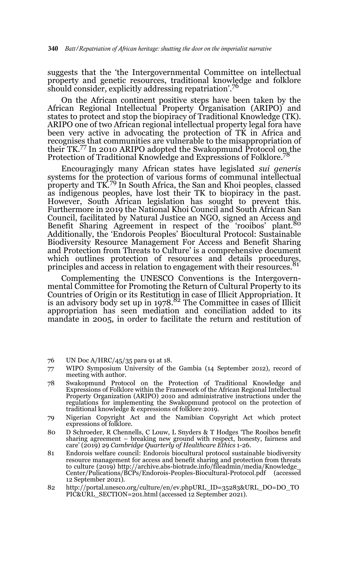suggests that the 'the Intergovernmental Committee on intellectual property and genetic resources, traditional knowledge and folklore should consider, explicitly addressing repatriation'.76

On the African continent positive steps have been taken by the African Regional Intellectual Property Organisation (ARIPO) and states to protect and stop the biopiracy of Traditional Knowledge (TK). ARIPO one of two African regional intellectual property legal fora have been very active in advocating the protection of TK in Africa and recognises that communities are vulnerable to the misappropriation of their TK.77 In 2010 ARIPO adopted the Swakopmund Protocol on the Protection of Traditional Knowledge and Expressions of Folklore.<sup>78</sup>

Encouragingly many African states have legislated *sui generis* systems for the protection of various forms of communal intellectual property and TK.79 In South Africa, the San and Khoi peoples, classed as indigenous peoples, have lost their TK to biopiracy in the past. However, South African legislation has sought to prevent this. Furthermore in 2019 the National Khoi Council and South African San Council, facilitated by Natural Justice an NGO, signed an Access and Benefit Sharing Agreement in respect of the 'rooibos' plant.<sup>80</sup> Additionally, the 'Endorois Peoples' Biocultural Protocol: Sustainable Biodiversity Resource Management For Access and Benefit Sharing and Protection from Threats to Culture' is a comprehensive document which outlines protection of resources and details procedures, principles and access in relation to engagement with their resources.

Complementing the UNESCO Conventions is the Intergovernmental Committee for Promoting the Return of Cultural Property to its Countries of Origin or its Restitution in case of Illicit Appropriation. It<br>is an advisory body set up in 1978.<sup>82</sup> The Committee in cases of Illicit appropriation has seen mediation and conciliation added to its mandate in 2005, in order to facilitate the return and restitution of

- 76 UN Doc A/HRC/45/35 para 91 at 18.
- 77 WIPO Symposium University of the Gambia (14 September 2012), record of meeting with author.
- 78 Swakopmund Protocol on the Protection of Traditional Knowledge and Expressions of Folklore within the Framework of the African Regional Intellectual Property Organization (ARIPO) 2010 and administrative instructions under the regulations for implementing the Swakopmund protocol on the protection of traditional knowledge & expressions of folklore 2019.
- 79 Nigerian Copyright Act and the Namibian Copyright Act which protect expressions of folklore.
- 80 D Schroeder, R Chennells, C Louw, L Snyders & T Hodges 'The Rooibos benefit sharing agreement – breaking new ground with respect, honesty, fairness and care' (2019) 29 *Cambridge Quarterly of Healthcare Ethics* 1-26.
- 81 Endorois welfare council: Endorois biocultural protocol sustainable biodiversity resource management for access and benefit sharing and protection from threats to culture (2019) http://archive.abs-biotrade.info/fileadmin/media/Knowledge\_ Center/Pulications/BCPs/Endorois-Peoples-Biocultural-Protocol.pdf (accessed 12 September 2021).
- 82 http://portal.unesco.org/culture/en/ev.phpURL\_ID=35283&URL\_DO=DO\_TO PIC&URL\_SECTION=201.html (accessed 12 September 2021).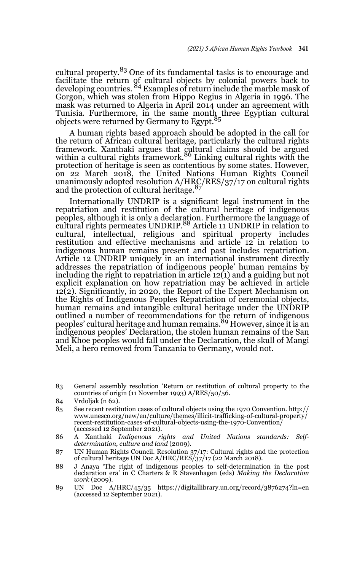cultural property.<sup>83</sup> One of its fundamental tasks is to encourage and facilitate the return of cultural objects by colonial powers back to<br>developing countries. <sup>84</sup> Examples of return include the marble mask of Gorgon, which was stolen from Hippo Regius in Algeria in 1996. The mask was returned to Algeria in April 2014 under an agreement with Tunisia. Furthermore, in the same month three Egyptian cultural<br>objects were returned by Germany to Egypt.<sup>85</sup>

A human rights based approach should be adopted in the call for the return of African cultural heritage, particularly the cultural rights framework. Xanthaki argues that cultural claims should be argued<br>within a cultural rights framework.<sup>86</sup> Linking cultural rights with the protection of heritage is seen as contentious by some states. However, on 22 March 2018, the United Nations Human Rights Council unanimously adopted resolution A/HRC/RES/37/17 on cultural rights<br>and the protection of cultural heritage.<sup>87</sup>

Internationally UNDRIP is a significant legal instrument in the repatriation and restitution of the cultural heritage of indigenous peoples, although it is only a declaration. Furthermore the language of<br>cultural rights permeates UNDRIP.<sup>88</sup> Article 11 UNDRIP in relation to cultural, intellectual, religious and spiritual property includes restitution and effective mechanisms and article 12 in relation to indigenous human remains present and past includes repatriation. Article 12 UNDRIP uniquely in an international instrument directly addresses the repatriation of indigenous people' human remains by including the right to repatriation in article  $12(1)$  and a guiding but not explicit explanation on how repatriation may be achieved in article 12(2). Significantly, in 2020, the Report of the Expert Mechanism on the Rights of Indigenous Peoples Repatriation of ceremonial objects, human remains and intangible cultural heritage under the UNDRIP outlined a number of recommendations for the return of indigenous<br>peoples' cultural heritage and human remains.<sup>89</sup> However, since it is an indigenous peoples' Declaration, the stolen human remains of the San and Khoe peoples would fall under the Declaration, the skull of Mangi Meli, a hero removed from Tanzania to Germany, would not.

83 General assembly resolution 'Return or restitution of cultural property to the countries of origin (11 November 1993) A/RES/50/56.

- 85 See recent restitution cases of cultural objects using the 1970 Convention. http:// www.unesco.org/new/en/culture/themes/illicit-trafficking-of-cultural-property/ recent-restitution-cases-of-cultural-objects-using-the-1970-Convention/ (accessed 12 September 2021).
- 86 A Xanthaki *Indigenous rights and United Nations standards: Selfdetermination, culture and land* (2009).
- 87 UN Human Rights Council. Resolution 37/17: Cultural rights and the protection of cultural heritage UN Doc A/HRC/RES/37/17 (22 March 2018).
- 88 J Anaya 'The right of indigenous peoples to self-determination in the post declaration era' in C Charters & R Stavenhagen (eds) *Making the Declaration work* (2009).
- 89 UN Doc A/HRC/45/35 https://digitallibrary.un.org/record/3876274?ln=en (accessed 12 September 2021).

<sup>84</sup> Vrdoljak (n 62).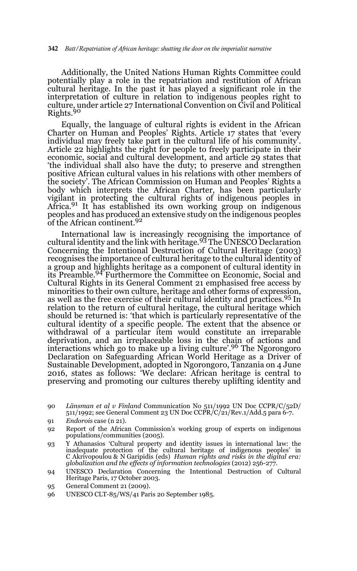Additionally, the United Nations Human Rights Committee could potentially play a role in the repatriation and restitution of African cultural heritage. In the past it has played a significant role in the interpretation of culture in relation to indigenous peoples right to culture, under article 27 International Convention on Civil and Political Rights.<sup>90</sup>

Equally, the language of cultural rights is evident in the African Charter on Human and Peoples' Rights. Article 17 states that 'every individual may freely take part in the cultural life of his community'. Article 22 highlights the right for people to freely participate in their economic, social and cultural development, and article 29 states that 'the individual shall also have the duty; to preserve and strengthen positive African cultural values in his relations with other members of the society'. The African Commission on Human and Peoples' Rights a body which interprets the African Charter, has been particularly vigilant in protecting the cultural rights of indigenous peoples in Africa.91 It has established its own working group on indigenous peoples and has produced an extensive study on the indigenous peoples of the African continent.<sup>92</sup>

International law is increasingly recognising the importance of cultural identity and the link with heritage.<sup>93</sup> The UNESCO Declaration Concerning the Intentional Destruction of Cultural Heritage (2003) recognises the importance of cultural heritage to the cultural identity of a group and highlights heritage as a component of cultural identity in its Preamble.94 Furthermore the Committee on Economic, Social and Cultural Rights in its General Comment 21 emphasised free access by minorities to their own culture, heritage and other forms of expression, as well as the free exercise of their cultural identity and practices.95 In relation to the return of cultural heritage, the cultural heritage which should be returned is: 'that which is particularly representative of the cultural identity of a specific people. The extent that the absence or withdrawal of a particular item would constitute an irreparable deprivation, and an irreplaceable loss in the chain of actions and interactions which go to make up a living culture'.96 The Ngorongoro Declaration on Safeguarding African World Heritage as a Driver of Sustainable Development, adopted in Ngorongoro, Tanzania on 4 June 2016, states as follows: 'We declare: African heritage is central to preserving and promoting our cultures thereby uplifting identity and

90 *Länsman et al v Finland* Communication No 511/1992 UN Doc CCPR/C/52D/ 511/1992; see General Comment 23 UN Doc  $CCPR/C/21/Rev.1/Add.5$  para 6-7.

- 91 *Endorois* case (n 21).
- 92 Report of the African Commission's working group of experts on indigenous populations/communities (2005).
- 93 Y Athanasios 'Cultural property and identity issues in international law: the inadequate protection of the cultural heritage of indigenous peoples' in C Akrivopoulou & N Garipidis (eds) *Human rights and risks in the digital era: globalization and the effects of information technologies* (2012) 256-277.
- 94 UNESCO Declaration Concerning the Intentional Destruction of Cultural Heritage Paris, 17 October 2003.
- 95 General Comment 21 (2009).
- 96 UNESCO CLT-85/WS/41 Paris 20 September 1985.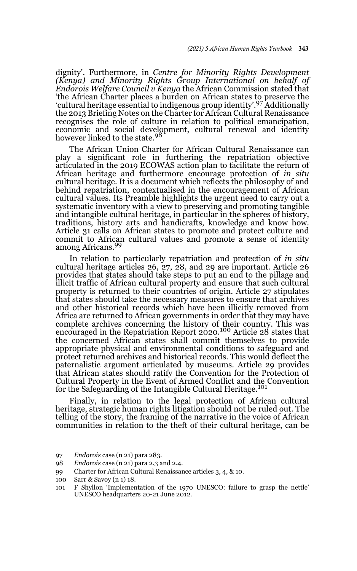dignity'. Furthermore, in *Centre for Minority Rights Development (Kenya) and Minority Rights Group International on behalf of Endorois Welfare Council v Kenya* the African Commission stated that 'the African Charter places a burden on African states to preserve the 'cultural heritage essential to indigenous group identity'.97 Additionally the 2013 Briefing Notes on the Charter for African Cultural Renaissance recognises the role of culture in relation to political emancipation, economic and social development, cultural renewal and identity however linked to the state.<sup>98</sup>

The African Union Charter for African Cultural Renaissance can play a significant role in furthering the repatriation objective articulated in the 2019 ECOWAS action plan to facilitate the return of African heritage and furthermore encourage protection of *in situ* cultural heritage. It is a document which reflects the philosophy of and behind repatriation, contextualised in the encouragement of African cultural values. Its Preamble highlights the urgent need to carry out a systematic inventory with a view to preserving and promoting tangible and intangible cultural heritage, in particular in the spheres of history, traditions, history arts and handicrafts, knowledge and know how. Article 31 calls on African states to promote and protect culture and commit to African cultural values and promote a sense of identity among Africans.<sup>99</sup>

In relation to particularly repatriation and protection of *in situ* cultural heritage articles 26, 27, 28, and 29 are important. Article 26 provides that states should take steps to put an end to the pillage and illicit traffic of African cultural property and ensure that such cultural property is returned to their countries of origin. Article 27 stipulates that states should take the necessary measures to ensure that archives and other historical records which have been illicitly removed from Africa are returned to African governments in order that they may have complete archives concerning the history of their country. This was encouraged in the Repatriation Report 2020.100 Article 28 states that the concerned African states shall commit themselves to provide appropriate physical and environmental conditions to safeguard and protect returned archives and historical records. This would deflect the paternalistic argument articulated by museums. Article 29 provides that African states should ratify the Convention for the Protection of Cultural Property in the Event of Armed Conflict and the Convention for the Safeguarding of the Intangible Cultural Heritage.<sup>101</sup>

Finally, in relation to the legal protection of African cultural heritage, strategic human rights litigation should not be ruled out. The telling of the story, the framing of the narrative in the voice of African communities in relation to the theft of their cultural heritage, can be

<sup>97</sup> *Endorois* case (n 21) para 283.

<sup>98</sup> *Endorois* case (n 21) para 2.3 and 2.4.

<sup>99</sup> Charter for African Cultural Renaissance articles 3, 4, & 10.

<sup>100</sup> Sarr & Savoy (n 1) 18.

<sup>101</sup> F Shyllon 'Implementation of the 1970 UNESCO: failure to grasp the nettle' UNESCO headquarters 20-21 June 2012.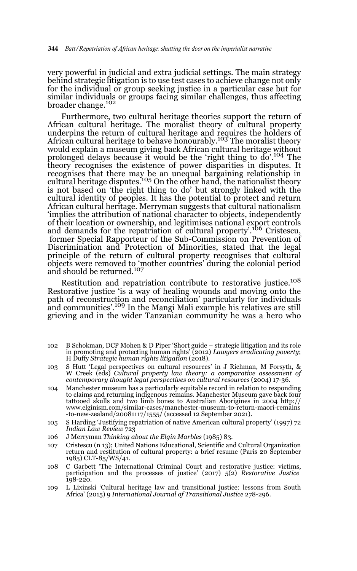very powerful in judicial and extra judicial settings. The main strategy behind strategic litigation is to use test cases to achieve change not only for the individual or group seeking justice in a particular case but for similar individuals or groups facing similar challenges, thus affecting broader change.<sup>102</sup>

Furthermore, two cultural heritage theories support the return of African cultural heritage. The moralist theory of cultural property underpins the return of cultural heritage and requires the holders of African cultural heritage to behave honourably.<sup>103</sup> The moralist theory would explain a museum giving back African cultural heritage without prolonged delays because it would be the 'right thing to do'.<sup>104</sup> The theory recognises the existence of power disparities in disputes. It recognises that there may be an unequal bargaining relationship in<br>cultural heritage disputes.<sup>105</sup> On the other hand, the nationalist theory is not based on 'the right thing to do' but strongly linked with the cultural identity of peoples. It has the potential to protect and return African cultural heritage. Merryman suggests that cultural nationalism 'implies the attribution of national character to objects, independently of their location or ownership, and legitimises national export controls and demands for the repatriation of cultural property'.106 Cristescu, former Special Rapporteur of the Sub-Commission on Prevention of Discrimination and Protection of Minorities, stated that the legal principle of the return of cultural property recognises that cultural objects were removed to 'mother countries' during the colonial period<br>and should be returned.<sup>107</sup>

Restitution and repatriation contribute to restorative justice.<sup>108</sup> Restorative justice 'is a way of healing wounds and moving onto the path of reconstruction and reconciliation' particularly for individuals and communities'.109 In the Mangi Mali example his relatives are still grieving and in the wider Tanzanian community he was a hero who

- 102 B Schokman, DCP Mohen & D Piper 'Short guide strategic litigation and its role in promoting and protecting human rights' (2012) *Lawyers eradicating poverty*; H Duffy *Strategic human rights litigation* (2018).
- 103 S Hutt 'Legal perspectives on cultural resources' in J Richman, M Forsyth, & W Creek (eds) *Cultural property law theory: a comparative assessment of contemporary thought legal perspectives on cultural resources* (2004) 17-36.
- 104 Manchester museum has a particularly equitable record in relation to responding to claims and returning indigenous remains. Manchester Museum gave back four tattooed skulls and two limb bones to Australian Aborigines in 2004 http:// www.elginism.com/similar-cases/manchester-museum-to-return-maori-remains -to-new-zealand/20081117/1555/ (accessed 12 September 2021).
- 105 S Harding 'Justifying repatriation of native American cultural property' (1997) 72 *Indian Law Review* 723
- 106 J Merryman *Thinking about the Elgin Marbles* (1985) 83.
- 107 Cristescu (n 13); United Nations Educational, Scientific and Cultural Organization return and restitution of cultural property: a brief resume (Paris 20 September 1985) CLT-85/WS/41.
- 108 C Garbett 'The International Criminal Court and restorative justice: victims, participation and the processes of justice' (2017) 5(2) *Restorative Justice* 198-220.
- 109 L Lixinski 'Cultural heritage law and transitional justice: lessons from South Africa' (2015) 9 *International Journal of Transitional Justice* 278-296.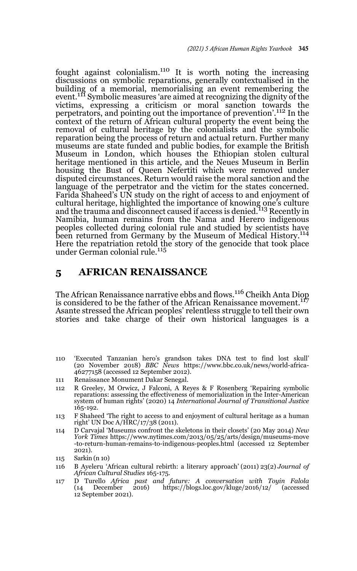fought against colonialism.110 It is worth noting the increasing discussions on symbolic reparations, generally contextualised in the building of a memorial, memorialising an event remembering the event.111 Symbolic measures 'are aimed at recognizing the dignity of the victims, expressing a criticism or moral sanction towards the perpetrators, and pointing out the importance of prevention'.112 In the context of the return of African cultural property the event being the removal of cultural heritage by the colonialists and the symbolic reparation being the process of return and actual return. Further many museums are state funded and public bodies, for example the British Museum in London, which houses the Ethiopian stolen cultural heritage mentioned in this article, and the Neues Museum in Berlin housing the Bust of Queen Nefertiti which were removed under disputed circumstances. Return would raise the moral sanction and the language of the perpetrator and the victim for the states concerned. Farida Shaheed's UN study on the right of access to and enjoyment of cultural heritage, highlighted the importance of knowing one's culture<br>and the trauma and disconnect caused if access is denied.<sup>113</sup> Recently in Namibia, human remains from the Nama and Herero indigenous peoples collected during colonial rule and studied by scientists have been returned from Germany by the Museum of Medical History.<sup>114</sup> Here the repatriation retold the story of the genocide that took place under German colonial rule.<sup>115</sup>

### **5 AFRICAN RENAISSANCE**

The African Renaissance narrative ebbs and flows.<sup>116</sup> Cheikh Anta Diop is considered to be the father of the African Renaissance movement.<sup>117</sup> Asante stressed the African peoples' relentless struggle to tell their own stories and take charge of their own historical languages is a

- 110 'Executed Tanzanian hero's grandson takes DNA test to find lost skull' (20 November 2018) *BBC News* https://www.bbc.co.uk/news/world-africa-46277158 (accessed 12 September 2012).
- 111 Renaissance Monument Dakar Senegal.
- 112 R Greeley, M Orwicz, J Falconi, A Reyes & F Rosenberg 'Repairing symbolic reparations: assessing the effectiveness of memorialization in the Inter-American system of human rights' (2020) 14 *International Journal of Transitional Justice* 165-192.
- 113 F Shaheed 'The right to access to and enjoyment of cultural heritage as a human right' UN Doc A/HRC/17/38 (2011).
- 114 D Carvajal 'Museums confront the skeletons in their closets' (20 May 2014) *New York Times* https://www.nytimes.com/2013/05/25/arts/design/museums-move -to-return-human-remains-to-indigenous-peoples.html (accessed 12 September 2021).
- 115 Sarkin (n 10)
- 116 B Ayeleru 'African cultural rebirth: a literary approach' (2011) 23(2) *Journal of African Cultural Studies* 165-175.
- 117 D Turello *Africa past and future: A conversation with Toyin Falola* (14 December 2016) https://blogs.loc.gov/kluge/2016/12/ (accessed 12 September 2021).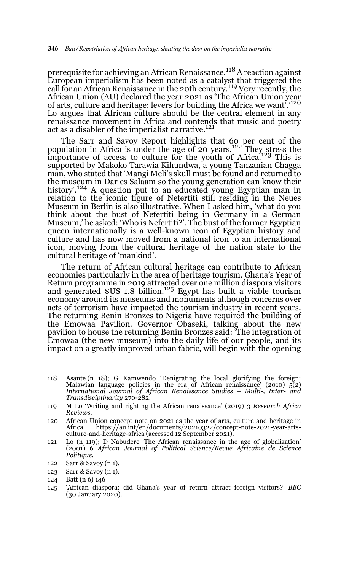prerequisite for achieving an African Renaissance.<sup>118</sup> A reaction against European imperialism has been noted as a catalyst that triggered the call for an African Renaissance in the 20th century.<sup>119</sup> Very recently, the African Union (AU) declared the year 2021 as 'The African Union year of arts, culture and heritage: levers for building the Africa we want'.'120 Lo argues that African culture should be the central element in any renaissance movement in Africa and contends that music and poetry act as a disabler of the imperialist narrative.<sup>121</sup>

The Sarr and Savoy Report highlights that 60 per cent of the population in Africa is under the age of 20 years.<sup>122</sup> They stress the importance of access to culture for the youth of Africa.<sup>123</sup> This is supported by Makoko Tarawia Kihundwa, a young Tanzanian Chagga man, who stated that 'Mangi Meli's skull must be found and returned to the museum in Dar es Salaam so the young generation can know their history'.<sup>124</sup> A question put to an educated young Egyptian man in relation to the iconic figure of Nefertiti still residing in the Neues Museum in Berlin is also illustrative. When I asked him, 'what do you think about the bust of Nefertiti being in Germany in a German Museum,' he asked: 'Who is Nefertiti?'. The bust of the former Egyptian queen internationally is a well-known icon of Egyptian history and culture and has now moved from a national icon to an international icon, moving from the cultural heritage of the nation state to the cultural heritage of 'mankind'.

The return of African cultural heritage can contribute to African economies particularly in the area of heritage tourism. Ghana's Year of Return programme in 2019 attracted over one million diaspora visitors and generated \$US 1.8 billion.<sup>125</sup> Egypt has built a viable tourism economy around its museums and monuments although concerns over acts of terrorism have impacted the tourism industry in recent years. The returning Benin Bronzes to Nigeria have required the building of the Emowaa Pavilion. Governor Obaseki, talking about the new pavilion to house the returning Benin Bronzes said: 'The integration of Emowaa (the new museum) into the daily life of our people, and its impact on a greatly improved urban fabric, will begin with the opening

- 118 Asante (n 18); G Kamwendo 'Denigrating the local glorifying the foreign: Malawian language policies in the era of African renaissance' (2010) 5(2) *International Journal of African Renaissance Studies – Multi-, Inter- and Transdisciplinarity* 270-282.
- 119 M Lo 'Writing and righting the African renaissance' (2019) 3 *Research Africa Reviews*.
- 120 African Union concept note on 2021 as the year of arts, culture and heritage in https://au.int/en/documents/20210322/concept-note-2021-year-artsculture-and-heritage-africa (accessed 12 September 2021).
- 121 Lo (n 119); D Nabudere 'The African renaissance in the age of globalization' (2001) 6 *African Journal of Political Science/Revue Africaine de Science Politique.*
- 122 Sarr & Savoy (n 1).
- 123 Sarr & Savoy (n 1).
- 124 Batt (n 6) 146
- 125 'African diaspora: did Ghana's year of return attract foreign visitors?' *BBC* (30 January 2020).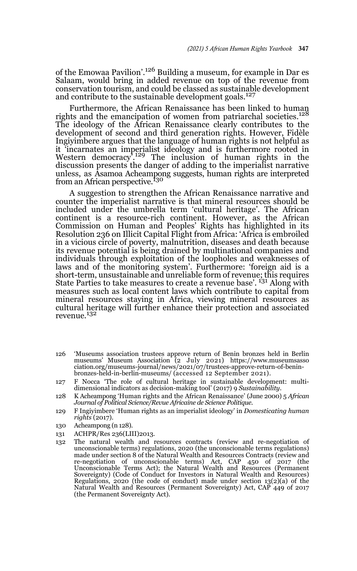of the Emowaa Pavilion'.<sup>126</sup> Building a museum, for example in Dar es Salaam, would bring in added revenue on top of the revenue from conservation tourism, and could be classed as sustainable development and contribute to the sustainable development goals.<sup>127</sup>

Furthermore, the African Renaissance has been linked to human rights and the emancipation of women from patriarchal societies.<sup>128</sup> The ideology of the African Renaissance clearly contributes to the development of second and third generation rights. However, Fidèle Ingiyimbere argues that the language of human rights is not helpful as it 'incarnates an imperialist ideology and is furthermore rooted in Western democracy<sup>3</sup>.<sup>129</sup> The inclusion of human rights in the discussion presents the danger of adding to the imperialist narrative unless, as Asamoa Acheampong suggests, human rights are interpreted from an African perspective.<sup>130</sup>

A suggestion to strengthen the African Renaissance narrative and counter the imperialist narrative is that mineral resources should be included under the umbrella term 'cultural heritage'. The African continent is a resource-rich continent. However, as the African Commission on Human and Peoples' Rights has highlighted in its Resolution 236 on Illicit Capital Flight from Africa: 'Africa is embroiled in a vicious circle of poverty, malnutrition, diseases and death because its revenue potential is being drained by multinational companies and individuals through exploitation of the loopholes and weaknesses of laws and of the monitoring system'. Furthermore: 'foreign aid is a short-term, unsustainable and unreliable form of revenue; this requires State Parties to take measures to create a revenue base'. <sup>131</sup> Along with measures such as local content laws which contribute to capital from mineral resources staying in Africa, viewing mineral resources as cultural heritage will further enhance their protection and associated revenue.<sup>132</sup>

- 126 'Museums association trustees approve return of Benin bronzes held in Berlin museums' Museum Association (2 July 2021) https://www.museumsasso ciation.org/museums-journal/news/2021/07/trustees-approve-return-of-beninbronzes-held-in-berlin-museums/ (accessed 12 September 2021).
- 127 F Nocca 'The role of cultural heritage in sustainable development: multidimensional indicators as decision-making tool' (2017) 9 *Sustainability*.
- 128 K Acheampong 'Human rights and the African Renaissance' (June 2000) 5 *African Journal of Political Science/Revue Africaine de Science Politique.*
- 129 F Ingiyimbere 'Human rights as an imperialist ideology' in *Domesticating human rights* (2017).
- 130 Acheampong (n 128).
- 131 ACHPR/Res 236(LIII)2013.
- 132 The natural wealth and resources contracts (review and re-negotiation of unconscionable terms) regulations, 2020 (the unconscionable terms regulations) made under section 8 of the Natural Wealth and Resources Contracts (review and re-negotiation of unconscionable terms) Act, CAP 450 of 2017 (the Unconscionable Terms Act); the Natural Wealth and Resources (Permanent Sovereignty) (Code of Conduct for Investors in Natural Wealth and Resources) Regulations, 2020 (the code of conduct) made under section  $13(2)(a)$  of the Natural Wealth and Resources (Permanent Sovereignty) Act, CAP 449 of 2017 (the Permanent Sovereignty Act).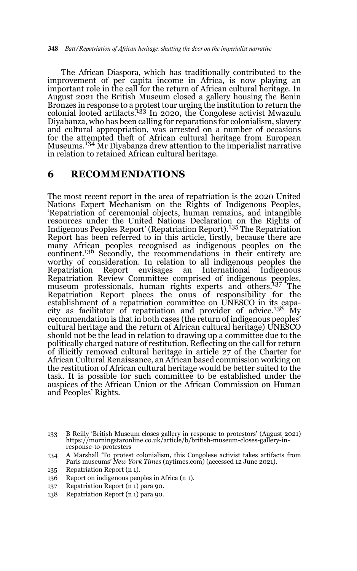The African Diaspora, which has traditionally contributed to the improvement of per capita income in Africa, is now playing an important role in the call for the return of African cultural heritage. In August 2021 the British Museum closed a gallery housing the Benin Bronzes in response to a protest tour urging the institution to return the colonial looted artifacts.<sup>133</sup> In 2020, the Congolese activist Mwazulu Diyabanza, who has been calling for reparations for colonialism, slavery and cultural appropriation, was arrested on a number of occasions for the attempted theft of African cultural heritage from European Museums.134 Mr Diyabanza drew attention to the imperialist narrative in relation to retained African cultural heritage.

### **6 RECOMMENDATIONS**

The most recent report in the area of repatriation is the 2020 United Nations Expert Mechanism on the Rights of Indigenous Peoples, 'Repatriation of ceremonial objects, human remains, and intangible resources under the United Nations Declaration on the Rights of Indigenous Peoples Report' (Repatriation Report).135 The Repatriation Report has been referred to in this article, firstly, because there are many African peoples recognised as indigenous peoples on the continent.136 Secondly, the recommendations in their entirety are worthy of consideration. In relation to all indigenous peoples the Repatriation Report envisages an International Indigenous Repatriation Review Committee comprised of indigenous peoples,<br>museum professionals, human rights experts and others.<sup>137</sup> The Repatriation Report places the onus of responsibility for the establishment of a repatriation committee on UNESCO in its capacity as facilitator of repatriation and provider of advice.<sup>138</sup> My recommendation is that in both cases (the return of indigenous peoples' cultural heritage and the return of African cultural heritage) UNESCO should not be the lead in relation to drawing up a committee due to the politically charged nature of restitution. Reflecting on the call for return of illicitly removed cultural heritage in article 27 of the Charter for African Cultural Renaissance, an African based commission working on the restitution of African cultural heritage would be better suited to the task. It is possible for such committee to be established under the auspices of the African Union or the African Commission on Human and Peoples' Rights.

138 Repatriation Report (n 1) para 90.

<sup>133</sup> B Reilly 'British Museum closes gallery in response to protestors' (August 2021) https://morningstaronline.co.uk/article/b/british-museum-closes-gallery-inresponse-to-protesters

<sup>134</sup> A Marshall 'To protest colonialism, this Congolese activist takes artifacts from Paris museums' *New York Times* (nytimes.com) (accessed 12 June 2021).

<sup>135</sup> Repatriation Report (n 1).

<sup>136</sup> Report on indigenous peoples in Africa (n 1).

<sup>137</sup> Repatriation Report (n 1) para 90.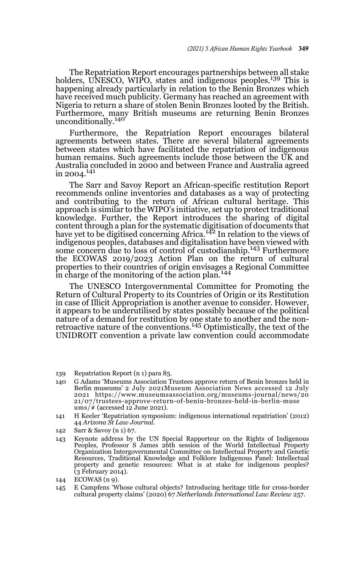The Repatriation Report encourages partnerships between all stake holders, UNESCO, WIPO, states and indigenous peoples.<sup>139</sup> This is happening already particularly in relation to the Benin Bronzes which have received much publicity. Germany has reached an agreement with Nigeria to return a share of stolen Benin Bronzes looted by the British. Furthermore, many British museums are returning Benin Bronzes unconditionally.<sup>140</sup>

Furthermore, the Repatriation Report encourages bilateral agreements between states. There are several bilateral agreements between states which have facilitated the repatriation of indigenous human remains. Such agreements include those between the UK and Australia concluded in 2000 and between France and Australia agreed in 2004. $^{141}$ 

The Sarr and Savoy Report an African-specific restitution Report recommends online inventories and databases as a way of protecting and contributing to the return of African cultural heritage. This approach is similar to the WIPO's initiative, set up to protect traditional knowledge. Further, the Report introduces the sharing of digital content through a plan for the systematic digitisation of documents that<br>have yet to be digitised concerning Africa.<sup>142</sup> In relation to the views of indigenous peoples, databases and digitalisation have been viewed with some concern due to loss of control of custodianship.<sup>143</sup> Furthermore the ECOWAS 2019/2023 Action Plan on the return of cultural properties to their countries of origin envisages a Regional Committee in charge of the monitoring of the action plan.<sup>144</sup>

The UNESCO Intergovernmental Committee for Promoting the Return of Cultural Property to its Countries of Origin or its Restitution in case of Illicit Appropriation is another avenue to consider. However, it appears to be underutilised by states possibly because of the political nature of a demand for restitution by one state to another and the nonretroactive nature of the conventions.<sup>145</sup> Optimistically, the text of the UNIDROIT convention a private law convention could accommodate

- 140 G Adams 'Museums Association Trustees approve return of Benin bronzes held in Berlin museums' 2 July 2021Museum Association News accessed 12 July 2021 https://www.museumsassociation.org/museums-journal/news/20 21/07/trustees-approve-return-of-benin-bronzes-held-in-berlin-muse  $\frac{\text{ums}}{\text{\#}}$  (accessed 12 June 2021).
- 141 H Keeler 'Repatriation symposium: indigenous international repatriation' (2012) 44 *Arizona St Law Journal*.
- 142 Sarr & Savoy (n 1) 67.
- 143 Keynote address by the UN Special Rapporteur on the Rights of Indigenous Peoples, Professor S James 26th session of the World Intellectual Property Organization Intergovernmental Committee on Intellectual Property and Genetic Resources, Traditional Knowledge and Folklore Indigenous Panel: Intellectual property and genetic resources: What is at stake for indigenous peoples? (3 February 2014).

145 E Campfens 'Whose cultural objects? Introducing heritage title for cross-border cultural property claims' (2020) 67 *Netherlands International Law Review* 257.

<sup>139</sup> Repatriation Report (n 1) para 85.

<sup>144</sup> ECOWAS (n 9).